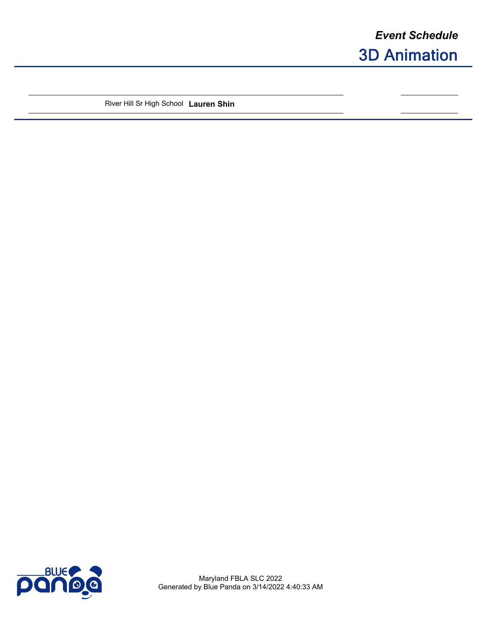River Hill Sr High School **Lauren Shin**



Maryland FBLA SLC 2022 Generated by Blue Panda on 3/14/2022 4:40:33 AM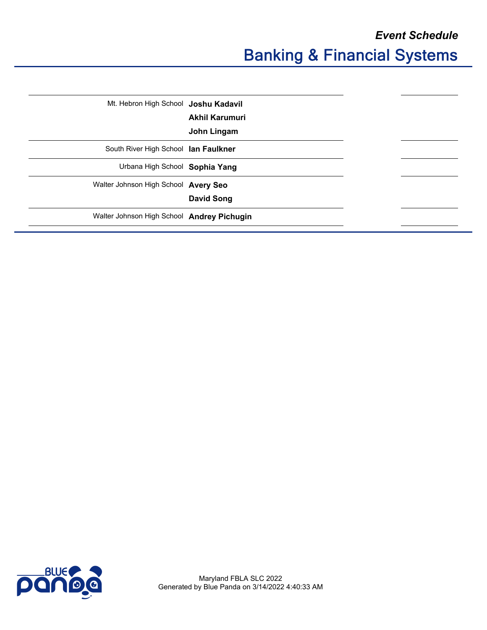| Mt. Hebron High School Joshu Kadavil       |                   |
|--------------------------------------------|-------------------|
|                                            | Akhil Karumuri    |
|                                            | John Lingam       |
| South River High School lan Faulkner       |                   |
| Urbana High School Sophia Yang             |                   |
| Walter Johnson High School Avery Seo       |                   |
|                                            | <b>David Song</b> |
| Walter Johnson High School Andrey Pichugin |                   |
|                                            |                   |

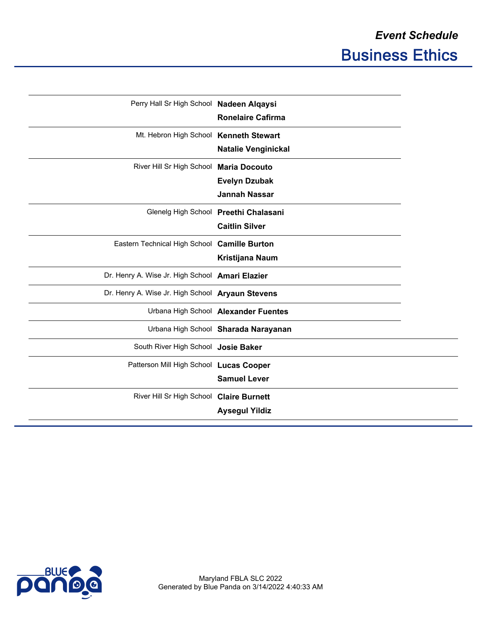$\overline{\phantom{a}}$ 

| Perry Hall Sr High School Nadeen Alqaysi         | <b>Ronelaire Cafirma</b>                                       |
|--------------------------------------------------|----------------------------------------------------------------|
| Mt. Hebron High School Kenneth Stewart           | <b>Natalie Venginickal</b>                                     |
| River Hill Sr High School Maria Docouto          | <b>Evelyn Dzubak</b><br><b>Jannah Nassar</b>                   |
|                                                  | Glenelg High School Preethi Chalasani<br><b>Caitlin Silver</b> |
| Eastern Technical High School Camille Burton     | Kristijana Naum                                                |
| Dr. Henry A. Wise Jr. High School Amari Elazier  |                                                                |
| Dr. Henry A. Wise Jr. High School Aryaun Stevens |                                                                |
|                                                  | Urbana High School Alexander Fuentes                           |
|                                                  | Urbana High School Sharada Narayanan                           |
| South River High School Josie Baker              |                                                                |
| Patterson Mill High School Lucas Cooper          | <b>Samuel Lever</b>                                            |
| River Hill Sr High School Claire Burnett         | <b>Aysegul Yildiz</b>                                          |

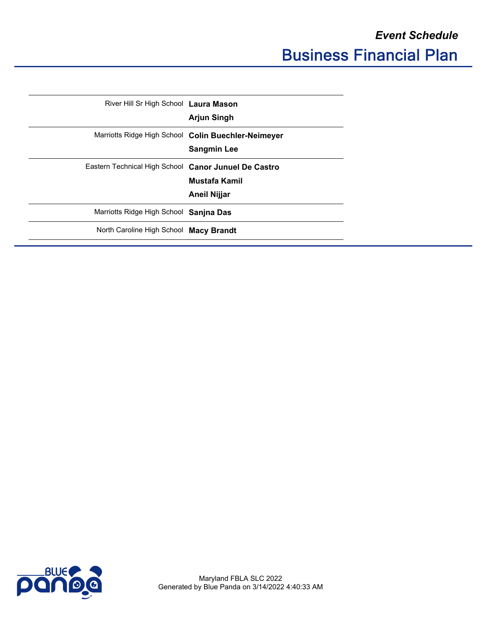| River Hill Sr High School Laura Mason                |                                                     |
|------------------------------------------------------|-----------------------------------------------------|
|                                                      | <b>Arjun Singh</b>                                  |
|                                                      | Marriotts Ridge High School Colin Buechler-Neimeyer |
|                                                      | <b>Sangmin Lee</b>                                  |
| Eastern Technical High School Canor Junuel De Castro |                                                     |
|                                                      | Mustafa Kamil                                       |
|                                                      | Aneil Nijjar                                        |
| Marriotts Ridge High School Sanjna Das               |                                                     |
| North Caroline High School Macy Brandt               |                                                     |
|                                                      |                                                     |

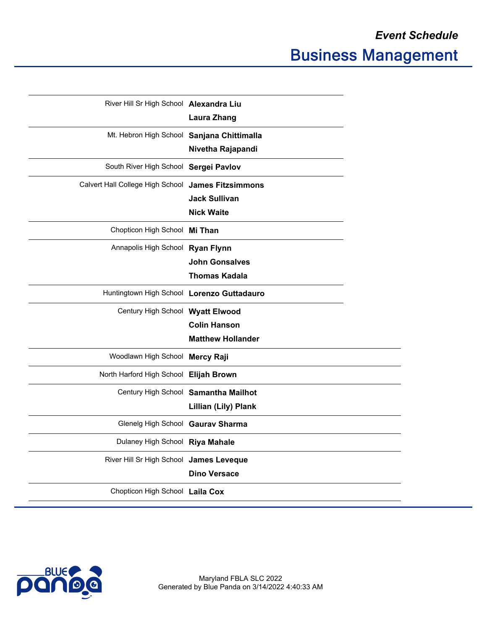$\sim$ 

| River Hill Sr High School Alexandra Liu            |                                      |
|----------------------------------------------------|--------------------------------------|
|                                                    | <b>Laura Zhang</b>                   |
| Mt. Hebron High School Sanjana Chittimalla         |                                      |
|                                                    | Nivetha Rajapandi                    |
| South River High School Sergei Pavlov              |                                      |
| Calvert Hall College High School James Fitzsimmons |                                      |
|                                                    | <b>Jack Sullivan</b>                 |
|                                                    | <b>Nick Waite</b>                    |
| Chopticon High School Mi Than                      |                                      |
| Annapolis High School Ryan Flynn                   |                                      |
|                                                    | <b>John Gonsalves</b>                |
|                                                    | <b>Thomas Kadala</b>                 |
| Huntingtown High School Lorenzo Guttadauro         |                                      |
| Century High School Wyatt Elwood                   |                                      |
|                                                    | <b>Colin Hanson</b>                  |
|                                                    | <b>Matthew Hollander</b>             |
| Woodlawn High School Mercy Raji                    |                                      |
| North Harford High School Elijah Brown             |                                      |
|                                                    | Century High School Samantha Mailhot |
|                                                    | Lillian (Lily) Plank                 |
| Glenelg High School Gaurav Sharma                  |                                      |
| Dulaney High School Riya Mahale                    |                                      |
| River Hill Sr High School James Leveque            |                                      |
|                                                    | <b>Dino Versace</b>                  |
| Chopticon High School Laila Cox                    |                                      |
|                                                    |                                      |

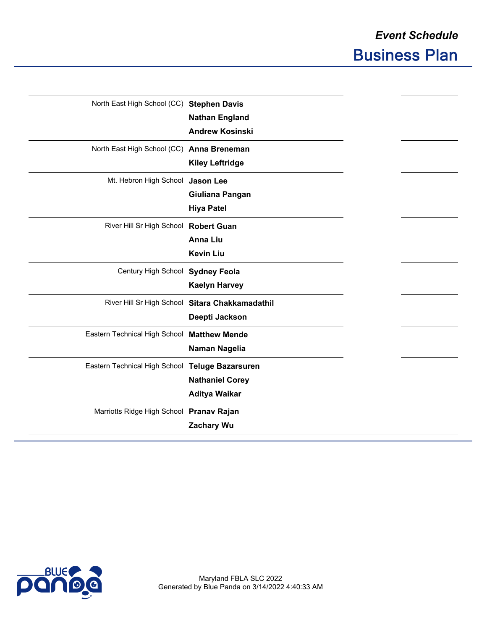| North East High School (CC) Stephen Davis       |                                                 |
|-------------------------------------------------|-------------------------------------------------|
|                                                 | <b>Nathan England</b>                           |
|                                                 | <b>Andrew Kosinski</b>                          |
| North East High School (CC) Anna Breneman       |                                                 |
|                                                 | <b>Kiley Leftridge</b>                          |
| Mt. Hebron High School Jason Lee                |                                                 |
|                                                 | Giuliana Pangan                                 |
|                                                 | <b>Hiya Patel</b>                               |
| River Hill Sr High School Robert Guan           |                                                 |
|                                                 | <b>Anna Liu</b>                                 |
|                                                 | <b>Kevin Liu</b>                                |
| Century High School Sydney Feola                |                                                 |
|                                                 | <b>Kaelyn Harvey</b>                            |
|                                                 | River Hill Sr High School Sitara Chakkamadathil |
|                                                 | Deepti Jackson                                  |
| Eastern Technical High School                   | <b>Matthew Mende</b>                            |
|                                                 | Naman Nagelia                                   |
| Eastern Technical High School Teluge Bazarsuren |                                                 |
|                                                 | <b>Nathaniel Corey</b>                          |
|                                                 | <b>Aditya Waikar</b>                            |
| Marriotts Ridge High School Pranav Rajan        |                                                 |
|                                                 | <b>Zachary Wu</b>                               |
|                                                 |                                                 |

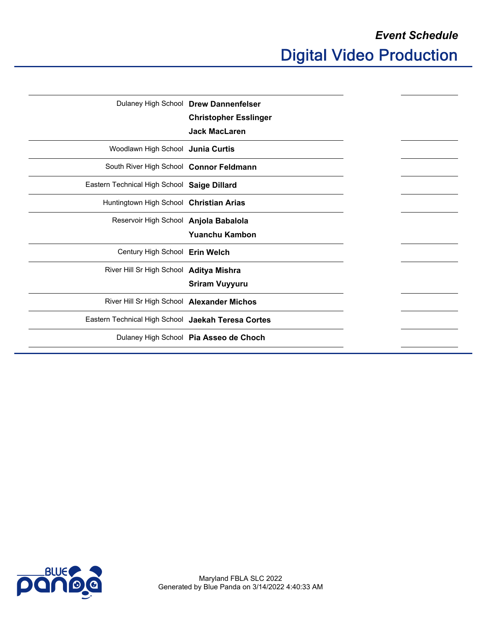|                                                    | Dulaney High School Drew Dannenfelser  |
|----------------------------------------------------|----------------------------------------|
|                                                    | <b>Christopher Esslinger</b>           |
|                                                    | <b>Jack MacLaren</b>                   |
| Woodlawn High School Junia Curtis                  |                                        |
| South River High School Connor Feldmann            |                                        |
| Eastern Technical High School Saige Dillard        |                                        |
| Huntingtown High School Christian Arias            |                                        |
| Reservoir High School Anjola Babalola              |                                        |
|                                                    | <b>Yuanchu Kambon</b>                  |
| Century High School Erin Welch                     |                                        |
| River Hill Sr High School Aditya Mishra            |                                        |
|                                                    | <b>Sriram Vuyyuru</b>                  |
| River Hill Sr High School Alexander Michos         |                                        |
| Eastern Technical High School Jaekah Teresa Cortes |                                        |
|                                                    | Dulaney High School Pia Asseo de Choch |
|                                                    |                                        |

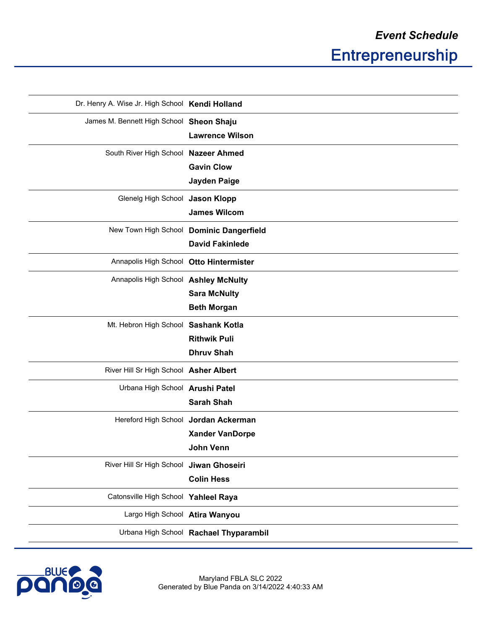| Dr. Henry A. Wise Jr. High School Kendi Holland |                                          |
|-------------------------------------------------|------------------------------------------|
| James M. Bennett High School Sheon Shaju        |                                          |
|                                                 | <b>Lawrence Wilson</b>                   |
| South River High School Nazeer Ahmed            |                                          |
|                                                 | <b>Gavin Clow</b>                        |
|                                                 | Jayden Paige                             |
| Glenelg High School Jason Klopp                 |                                          |
|                                                 | <b>James Wilcom</b>                      |
|                                                 | New Town High School Dominic Dangerfield |
|                                                 | <b>David Fakinlede</b>                   |
| Annapolis High School Otto Hintermister         |                                          |
| Annapolis High School Ashley McNulty            |                                          |
|                                                 | <b>Sara McNulty</b>                      |
|                                                 | <b>Beth Morgan</b>                       |
| Mt. Hebron High School Sashank Kotla            |                                          |
|                                                 | <b>Rithwik Puli</b>                      |
|                                                 | <b>Dhruv Shah</b>                        |
| River Hill Sr High School Asher Albert          |                                          |
| Urbana High School Arushi Patel                 |                                          |
|                                                 | <b>Sarah Shah</b>                        |
| Hereford High School Jordan Ackerman            |                                          |
|                                                 | <b>Xander VanDorpe</b>                   |
|                                                 | John Venn                                |
| River Hill Sr High School Jiwan Ghoseiri        |                                          |
|                                                 | <b>Colin Hess</b>                        |
| Catonsville High School Yahleel Raya            |                                          |
| Largo High School Atira Wanyou                  |                                          |
|                                                 | Urbana High School Rachael Thyparambil   |
|                                                 |                                          |

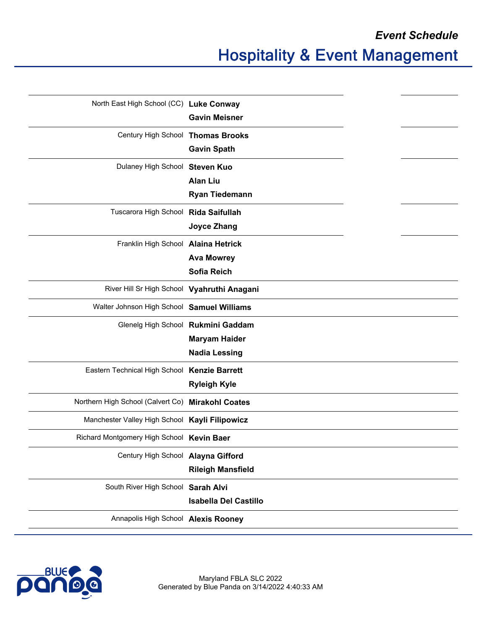*Event Schedule*

| North East High School (CC) Luke Conway           |                                    |  |
|---------------------------------------------------|------------------------------------|--|
|                                                   | <b>Gavin Meisner</b>               |  |
| Century High School Thomas Brooks                 |                                    |  |
|                                                   | <b>Gavin Spath</b>                 |  |
| Dulaney High School Steven Kuo                    |                                    |  |
|                                                   | <b>Alan Liu</b>                    |  |
|                                                   | <b>Ryan Tiedemann</b>              |  |
| Tuscarora High School Rida Saifullah              |                                    |  |
|                                                   | <b>Joyce Zhang</b>                 |  |
| Franklin High School Alaina Hetrick               |                                    |  |
|                                                   | <b>Ava Mowrey</b>                  |  |
|                                                   | <b>Sofia Reich</b>                 |  |
| River Hill Sr High School Vyahruthi Anagani       |                                    |  |
| Walter Johnson High School Samuel Williams        |                                    |  |
|                                                   | Glenelg High School Rukmini Gaddam |  |
|                                                   | <b>Maryam Haider</b>               |  |
|                                                   | <b>Nadia Lessing</b>               |  |
| Eastern Technical High School Kenzie Barrett      |                                    |  |
|                                                   | <b>Ryleigh Kyle</b>                |  |
| Northern High School (Calvert Co) Mirakohl Coates |                                    |  |
| Manchester Valley High School Kayli Filipowicz    |                                    |  |
| Richard Montgomery High School Kevin Baer         |                                    |  |
| Century High School Alayna Gifford                |                                    |  |
|                                                   | <b>Rileigh Mansfield</b>           |  |
| South River High School Sarah Alvi                |                                    |  |
|                                                   | <b>Isabella Del Castillo</b>       |  |
| Annapolis High School Alexis Rooney               |                                    |  |
|                                                   |                                    |  |

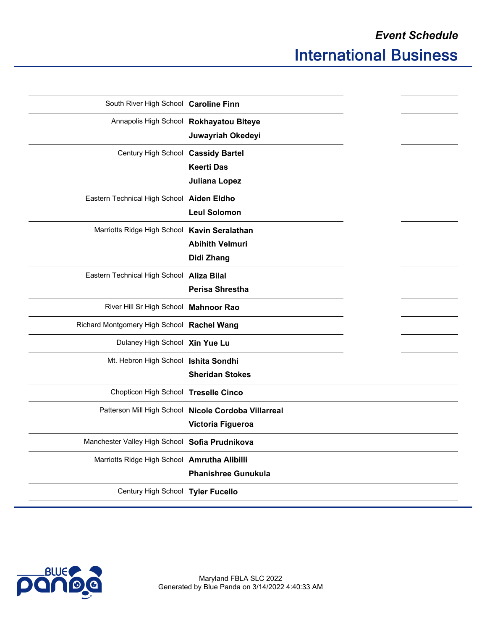| South River High School Caroline Finn          |                                                      |  |
|------------------------------------------------|------------------------------------------------------|--|
|                                                | Annapolis High School Rokhayatou Biteye              |  |
|                                                | Juwayriah Okedeyi                                    |  |
| Century High School Cassidy Bartel             |                                                      |  |
|                                                | <b>Keerti Das</b>                                    |  |
|                                                | Juliana Lopez                                        |  |
| Eastern Technical High School Aiden Eldho      |                                                      |  |
|                                                | <b>Leul Solomon</b>                                  |  |
| Marriotts Ridge High School Kavin Seralathan   |                                                      |  |
|                                                | <b>Abihith Velmuri</b>                               |  |
|                                                | Didi Zhang                                           |  |
| Eastern Technical High School Aliza Bilal      |                                                      |  |
|                                                | <b>Perisa Shrestha</b>                               |  |
| River Hill Sr High School Mahnoor Rao          |                                                      |  |
| Richard Montgomery High School Rachel Wang     |                                                      |  |
| Dulaney High School Xin Yue Lu                 |                                                      |  |
| Mt. Hebron High School Ishita Sondhi           |                                                      |  |
|                                                | <b>Sheridan Stokes</b>                               |  |
| Chopticon High School Treselle Cinco           |                                                      |  |
|                                                | Patterson Mill High School Nicole Cordoba Villarreal |  |
|                                                | Victoria Figueroa                                    |  |
| Manchester Valley High School Sofia Prudnikova |                                                      |  |
| Marriotts Ridge High School Amrutha Alibilli   |                                                      |  |
|                                                | <b>Phanishree Gunukula</b>                           |  |
| Century High School Tyler Fucello              |                                                      |  |
|                                                |                                                      |  |

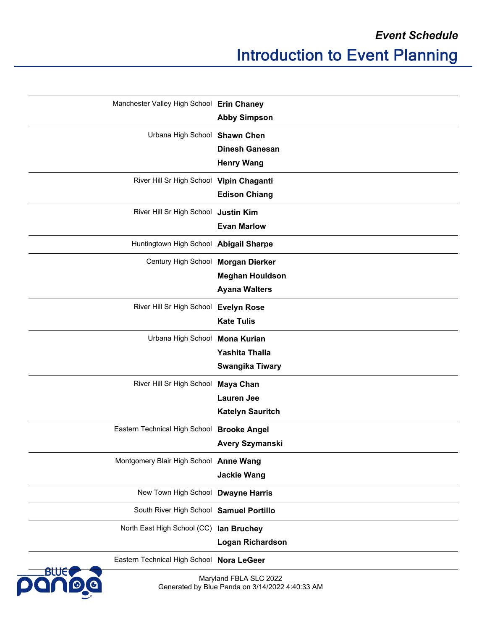| Manchester Valley High School Erin Chaney  | <b>Abby Simpson</b>     |
|--------------------------------------------|-------------------------|
|                                            |                         |
| Urbana High School Shawn Chen              |                         |
|                                            | <b>Dinesh Ganesan</b>   |
|                                            | <b>Henry Wang</b>       |
| River Hill Sr High School Vipin Chaganti   |                         |
|                                            | <b>Edison Chiang</b>    |
| River Hill Sr High School Justin Kim       |                         |
|                                            | <b>Evan Marlow</b>      |
| Huntingtown High School Abigail Sharpe     |                         |
| Century High School                        | <b>Morgan Dierker</b>   |
|                                            | <b>Meghan Houldson</b>  |
|                                            | <b>Ayana Walters</b>    |
| River Hill Sr High School Evelyn Rose      |                         |
|                                            | <b>Kate Tulis</b>       |
| Urbana High School Mona Kurian             |                         |
|                                            | <b>Yashita Thalla</b>   |
|                                            | <b>Swangika Tiwary</b>  |
| River Hill Sr High School                  | <b>Maya Chan</b>        |
|                                            | <b>Lauren Jee</b>       |
|                                            | <b>Katelyn Sauritch</b> |
| Eastern Technical High School Brooke Angel |                         |
|                                            | <b>Avery Szymanski</b>  |
| Montgomery Blair High School Anne Wang     |                         |
|                                            | <b>Jackie Wang</b>      |
| New Town High School Dwayne Harris         |                         |
| South River High School Samuel Portillo    |                         |
| North East High School (CC) lan Bruchey    |                         |
|                                            | <b>Logan Richardson</b> |
| Eastern Technical High School Nora LeGeer  |                         |

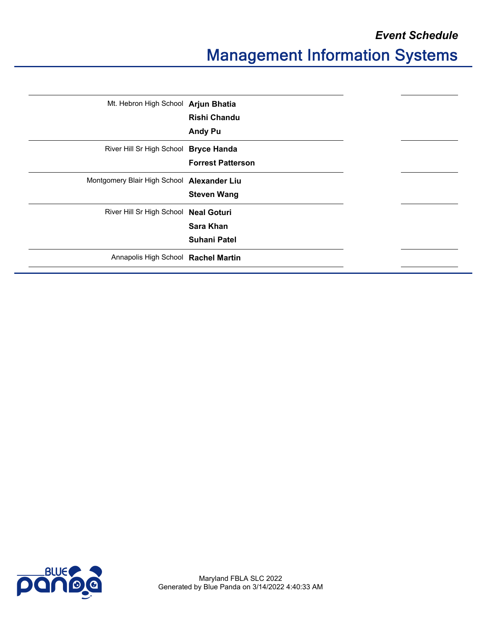*Event Schedule*

## Management Information Systems

| Mt. Hebron High School Arjun Bhatia        |                          |  |
|--------------------------------------------|--------------------------|--|
|                                            | <b>Rishi Chandu</b>      |  |
|                                            | <b>Andy Pu</b>           |  |
| River Hill Sr High School Bryce Handa      |                          |  |
|                                            | <b>Forrest Patterson</b> |  |
| Montgomery Blair High School Alexander Liu |                          |  |
|                                            | <b>Steven Wang</b>       |  |
| River Hill Sr High School Neal Goturi      |                          |  |
|                                            | <b>Sara Khan</b>         |  |
|                                            | <b>Suhani Patel</b>      |  |
| Annapolis High School Rachel Martin        |                          |  |
|                                            |                          |  |

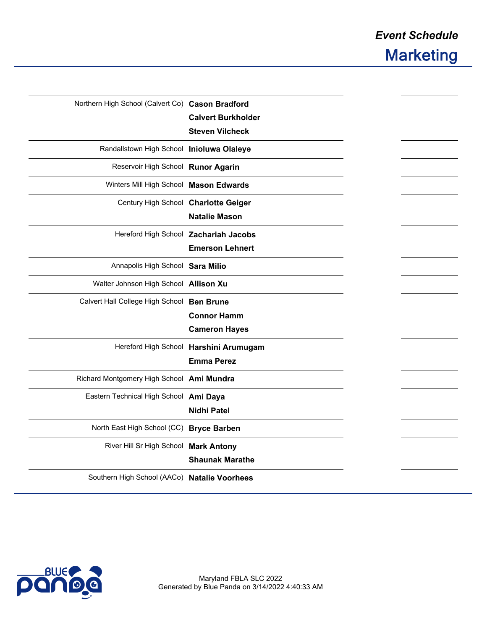| Northern High School (Calvert Co) Cason Bradford | <b>Calvert Burkholder</b><br><b>Steven Vilcheck</b>             |  |
|--------------------------------------------------|-----------------------------------------------------------------|--|
| Randallstown High School Inioluwa Olaleye        |                                                                 |  |
| Reservoir High School Runor Agarin               |                                                                 |  |
| Winters Mill High School Mason Edwards           |                                                                 |  |
| Century High School Charlotte Geiger             | <b>Natalie Mason</b>                                            |  |
|                                                  | Hereford High School Zachariah Jacobs<br><b>Emerson Lehnert</b> |  |
| Annapolis High School Sara Milio                 |                                                                 |  |
| Walter Johnson High School Allison Xu            |                                                                 |  |
| Calvert Hall College High School Ben Brune       | <b>Connor Hamm</b><br><b>Cameron Hayes</b>                      |  |
|                                                  | Hereford High School Harshini Arumugam<br><b>Emma Perez</b>     |  |
| Richard Montgomery High School Ami Mundra        |                                                                 |  |
| Eastern Technical High School Ami Daya           | <b>Nidhi Patel</b>                                              |  |
| North East High School (CC)                      | <b>Bryce Barben</b>                                             |  |
| River Hill Sr High School Mark Antony            | <b>Shaunak Marathe</b>                                          |  |
| Southern High School (AACo) Natalie Voorhees     |                                                                 |  |
|                                                  |                                                                 |  |

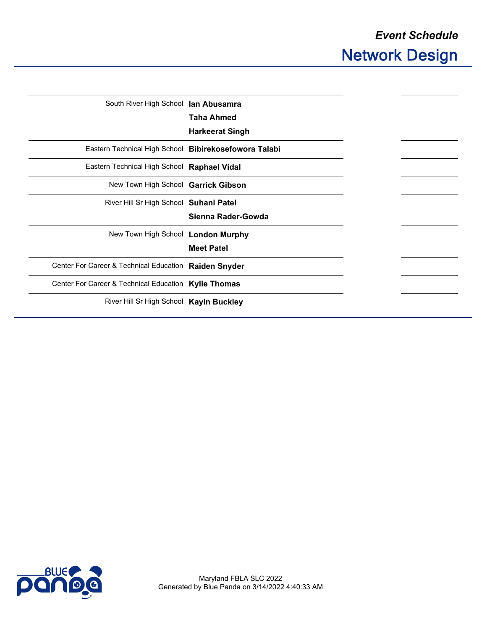| South River High School lan Abusamra                  |                        |
|-------------------------------------------------------|------------------------|
|                                                       | <b>Taha Ahmed</b>      |
|                                                       | <b>Harkeerat Singh</b> |
| Eastern Technical High School Bibirekosefowora Talabi |                        |
| Eastern Technical High School Raphael Vidal           |                        |
| New Town High School Garrick Gibson                   |                        |
| River Hill Sr High School Suhani Patel                |                        |
|                                                       | Sienna Rader-Gowda     |
| New Town High School London Murphy                    |                        |
|                                                       | <b>Meet Patel</b>      |
| Center For Career & Technical Education Raiden Snyder |                        |
| Center For Career & Technical Education Kylie Thomas  |                        |
| River Hill Sr High School Kayin Buckley               |                        |
|                                                       |                        |

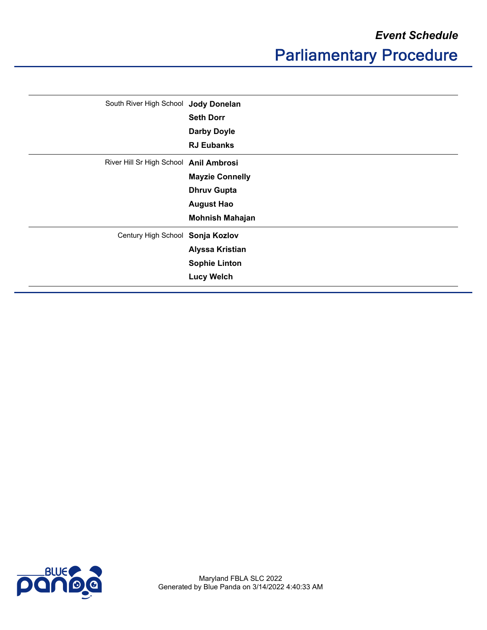|  | South River High School Jody Donelan   |                        |
|--|----------------------------------------|------------------------|
|  |                                        | <b>Seth Dorr</b>       |
|  |                                        | <b>Darby Doyle</b>     |
|  |                                        | <b>RJ Eubanks</b>      |
|  | River Hill Sr High School Anil Ambrosi |                        |
|  |                                        | <b>Mayzie Connelly</b> |
|  |                                        | <b>Dhruv Gupta</b>     |
|  |                                        | <b>August Hao</b>      |
|  | <b>Mohnish Mahajan</b>                 |                        |
|  | Century High School Sonja Kozlov       |                        |
|  |                                        | <b>Alyssa Kristian</b> |
|  |                                        | <b>Sophie Linton</b>   |
|  |                                        | <b>Lucy Welch</b>      |